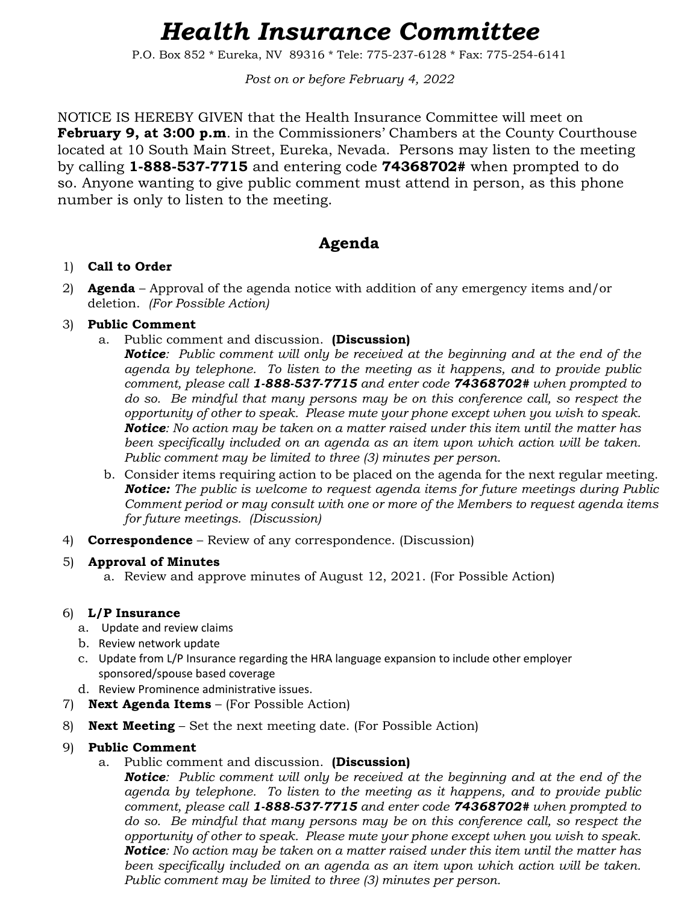# *Health Insurance Committee*

P.O. Box 852 \* Eureka, NV 89316 \* Tele: 775-237-6128 \* Fax: 775-254-6141

*Post on or before February 4, 2022*

NOTICE IS HEREBY GIVEN that the Health Insurance Committee will meet on **February 9, at 3:00 p.m**. in the Commissioners' Chambers at the County Courthouse located at 10 South Main Street, Eureka, Nevada. Persons may listen to the meeting by calling **1-888-537-7715** and entering code **74368702#** when prompted to do so. Anyone wanting to give public comment must attend in person, as this phone number is only to listen to the meeting.

# **Agenda**

### 1) **Call to Order**

2) **Agenda** – Approval of the agenda notice with addition of any emergency items and/or deletion. *(For Possible Action)*

## 3) **Public Comment**

a. Public comment and discussion. **(Discussion)**

*Notice: Public comment will only be received at the beginning and at the end of the agenda by telephone. To listen to the meeting as it happens, and to provide public comment, please call 1-888-537-7715 and enter code 74368702# when prompted to do so. Be mindful that many persons may be on this conference call, so respect the opportunity of other to speak. Please mute your phone except when you wish to speak. Notice: No action may be taken on a matter raised under this item until the matter has been specifically included on an agenda as an item upon which action will be taken. Public comment may be limited to three (3) minutes per person.*

- b. Consider items requiring action to be placed on the agenda for the next regular meeting. *Notice: The public is welcome to request agenda items for future meetings during Public Comment period or may consult with one or more of the Members to request agenda items for future meetings. (Discussion)*
- 4) **Correspondence** Review of any correspondence. (Discussion)

### 5) **Approval of Minutes**

a. Review and approve minutes of August 12, 2021. (For Possible Action)

# 6) **L/P Insurance**

- a. Update and review claims
- b. Review network update
- c. Update from L/P Insurance regarding the HRA language expansion to include other employer sponsored/spouse based coverage
- d. Review Prominence administrative issues.
- 7) **Next Agenda Items** (For Possible Action)
- 8) **Next Meeting** Set the next meeting date. (For Possible Action)

### 9) **Public Comment**

a. Public comment and discussion. **(Discussion)**

*Notice: Public comment will only be received at the beginning and at the end of the agenda by telephone. To listen to the meeting as it happens, and to provide public comment, please call 1-888-537-7715 and enter code 74368702# when prompted to do so. Be mindful that many persons may be on this conference call, so respect the opportunity of other to speak. Please mute your phone except when you wish to speak. Notice: No action may be taken on a matter raised under this item until the matter has*  been specifically included on an agenda as an item upon which action will be taken. *Public comment may be limited to three (3) minutes per person.*